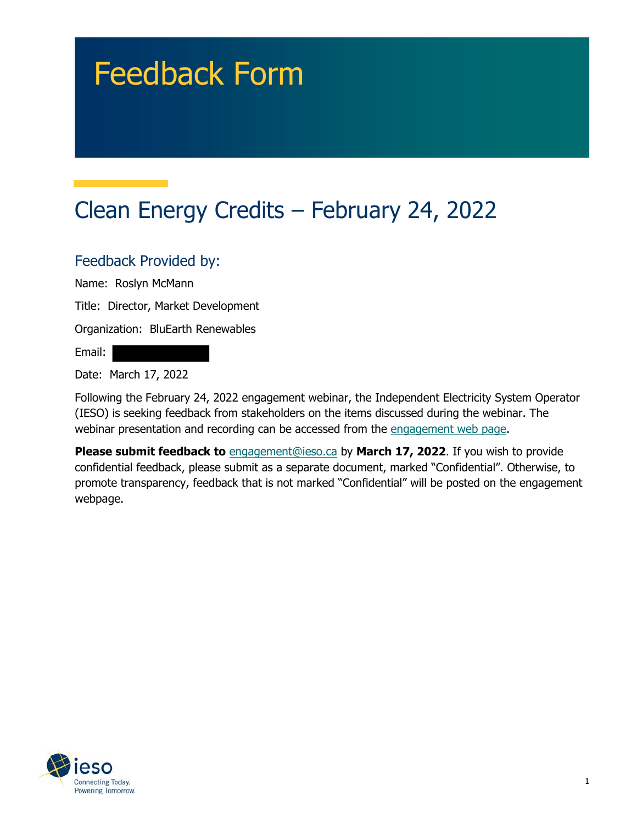# Feedback Form

## Clean Energy Credits – February 24, 2022

#### Feedback Provided by:

Name: Roslyn McMann

Title: Director, Market Development

Organization: BluEarth Renewables

Email:

Date: March 17, 2022

 (IESO) is seeking feedback from stakeholders on the items discussed during the webinar. The Following the February 24, 2022 engagement webinar, the Independent Electricity System Operator webinar presentation and recording can be accessed from the engagement web page.

 **Please submit feedback to** [engagement@ieso.ca](mailto:engagement@ieso.ca) by **March 17, 2022**. If you wish to provide confidential feedback, please submit as a separate document, marked "Confidential". Otherwise, to promote transparency, feedback that is not marked "Confidential" will be posted on the engagement webpage.

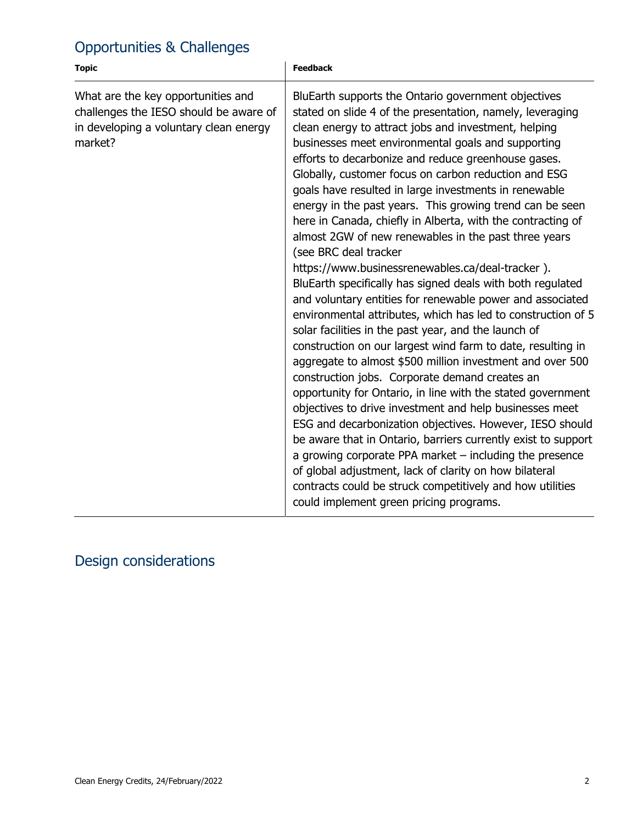### Opportunities & Challenges

| <b>Topic</b>                                                                                                                      | <b>Feedback</b>                                                                                                                                                                                                                                                                                                                                                                                                                                                                                                                                                                                                                                                                                                                                                                                                                                                                                                                                                                                                                                                                                                                                                                                                                                                                                                                                                                                                                                                                                                                                                                               |
|-----------------------------------------------------------------------------------------------------------------------------------|-----------------------------------------------------------------------------------------------------------------------------------------------------------------------------------------------------------------------------------------------------------------------------------------------------------------------------------------------------------------------------------------------------------------------------------------------------------------------------------------------------------------------------------------------------------------------------------------------------------------------------------------------------------------------------------------------------------------------------------------------------------------------------------------------------------------------------------------------------------------------------------------------------------------------------------------------------------------------------------------------------------------------------------------------------------------------------------------------------------------------------------------------------------------------------------------------------------------------------------------------------------------------------------------------------------------------------------------------------------------------------------------------------------------------------------------------------------------------------------------------------------------------------------------------------------------------------------------------|
| What are the key opportunities and<br>challenges the IESO should be aware of<br>in developing a voluntary clean energy<br>market? | BluEarth supports the Ontario government objectives<br>stated on slide 4 of the presentation, namely, leveraging<br>clean energy to attract jobs and investment, helping<br>businesses meet environmental goals and supporting<br>efforts to decarbonize and reduce greenhouse gases.<br>Globally, customer focus on carbon reduction and ESG<br>goals have resulted in large investments in renewable<br>energy in the past years. This growing trend can be seen<br>here in Canada, chiefly in Alberta, with the contracting of<br>almost 2GW of new renewables in the past three years<br>(see BRC deal tracker<br>https://www.businessrenewables.ca/deal-tracker).<br>BluEarth specifically has signed deals with both regulated<br>and voluntary entities for renewable power and associated<br>environmental attributes, which has led to construction of 5<br>solar facilities in the past year, and the launch of<br>construction on our largest wind farm to date, resulting in<br>aggregate to almost \$500 million investment and over 500<br>construction jobs. Corporate demand creates an<br>opportunity for Ontario, in line with the stated government<br>objectives to drive investment and help businesses meet<br>ESG and decarbonization objectives. However, IESO should<br>be aware that in Ontario, barriers currently exist to support<br>a growing corporate PPA market $-$ including the presence<br>of global adjustment, lack of clarity on how bilateral<br>contracts could be struck competitively and how utilities<br>could implement green pricing programs. |

### Design considerations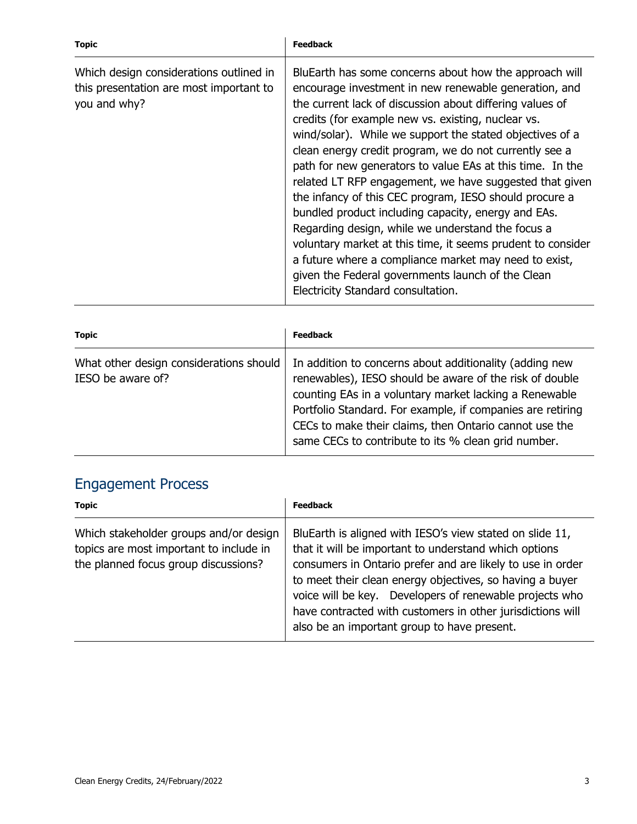| <b>Topic</b>                                                                                       | <b>Feedback</b>                                                                                                                                                                                                                                                                                                                                                                                                                                                                                                                                                                                                                                                                                                                                                                                                                                                          |
|----------------------------------------------------------------------------------------------------|--------------------------------------------------------------------------------------------------------------------------------------------------------------------------------------------------------------------------------------------------------------------------------------------------------------------------------------------------------------------------------------------------------------------------------------------------------------------------------------------------------------------------------------------------------------------------------------------------------------------------------------------------------------------------------------------------------------------------------------------------------------------------------------------------------------------------------------------------------------------------|
| Which design considerations outlined in<br>this presentation are most important to<br>you and why? | BluEarth has some concerns about how the approach will<br>encourage investment in new renewable generation, and<br>the current lack of discussion about differing values of<br>credits (for example new vs. existing, nuclear vs.<br>wind/solar). While we support the stated objectives of a<br>clean energy credit program, we do not currently see a<br>path for new generators to value EAs at this time. In the<br>related LT RFP engagement, we have suggested that given<br>the infancy of this CEC program, IESO should procure a<br>bundled product including capacity, energy and EAs.<br>Regarding design, while we understand the focus a<br>voluntary market at this time, it seems prudent to consider<br>a future where a compliance market may need to exist,<br>given the Federal governments launch of the Clean<br>Electricity Standard consultation. |

| <b>Topic</b>                                                 | <b>Feedback</b>                                                                                                                                                                                                                                                                                                                                             |
|--------------------------------------------------------------|-------------------------------------------------------------------------------------------------------------------------------------------------------------------------------------------------------------------------------------------------------------------------------------------------------------------------------------------------------------|
| What other design considerations should<br>IESO be aware of? | In addition to concerns about additionality (adding new<br>renewables), IESO should be aware of the risk of double<br>counting EAs in a voluntary market lacking a Renewable<br>Portfolio Standard. For example, if companies are retiring<br>CECs to make their claims, then Ontario cannot use the<br>same CECs to contribute to its % clean grid number. |

#### Engagement Process

| <b>Topic</b>                                                                                                              | <b>Feedback</b>                                                                                                                                                                                                                                                                                                                                                                                                     |
|---------------------------------------------------------------------------------------------------------------------------|---------------------------------------------------------------------------------------------------------------------------------------------------------------------------------------------------------------------------------------------------------------------------------------------------------------------------------------------------------------------------------------------------------------------|
| Which stakeholder groups and/or design<br>topics are most important to include in<br>the planned focus group discussions? | BluEarth is aligned with IESO's view stated on slide 11,<br>that it will be important to understand which options<br>consumers in Ontario prefer and are likely to use in order<br>to meet their clean energy objectives, so having a buyer<br>voice will be key. Developers of renewable projects who<br>have contracted with customers in other jurisdictions will<br>also be an important group to have present. |